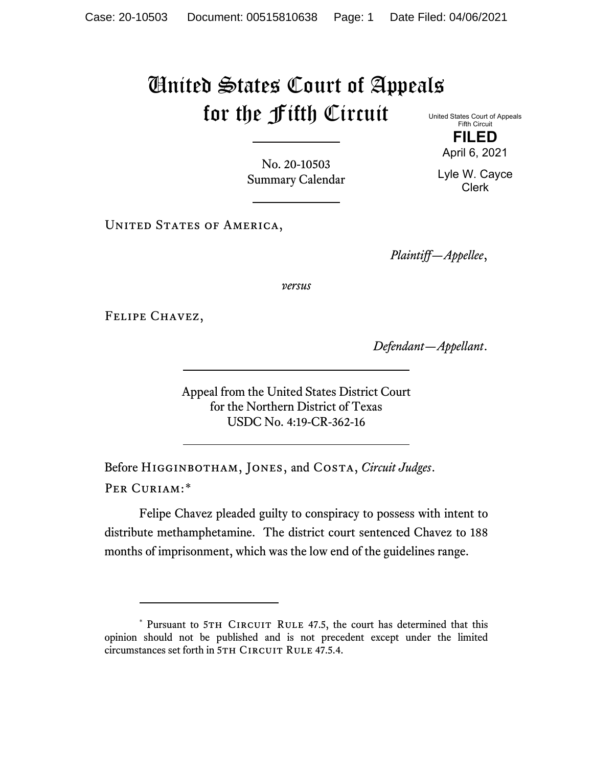## United States Court of Appeals for the Fifth Circuit

United States Court of Appeals Fifth Circuit **FILED**

No. 20-10503 Summary Calendar

UNITED STATES OF AMERICA,

*Plaintiff—Appellee*,

*versus*

Felipe Chavez,

*Defendant—Appellant*.

Appeal from the United States District Court for the Northern District of Texas USDC No. 4:19-CR-362-16

Before Higginbotham, Jones, and Costa, *Circuit Judges*. Per Curiam:[\\*](#page-0-0)

Felipe Chavez pleaded guilty to conspiracy to possess with intent to distribute methamphetamine. The district court sentenced Chavez to 188 months of imprisonment, which was the low end of the guidelines range.

April 6, 2021

Lyle W. Cayce Clerk

<span id="page-0-0"></span><sup>\*</sup> Pursuant to 5TH CIRCUIT RULE 47.5, the court has determined that this opinion should not be published and is not precedent except under the limited circumstances set forth in 5TH CIRCUIT RULE 47.5.4.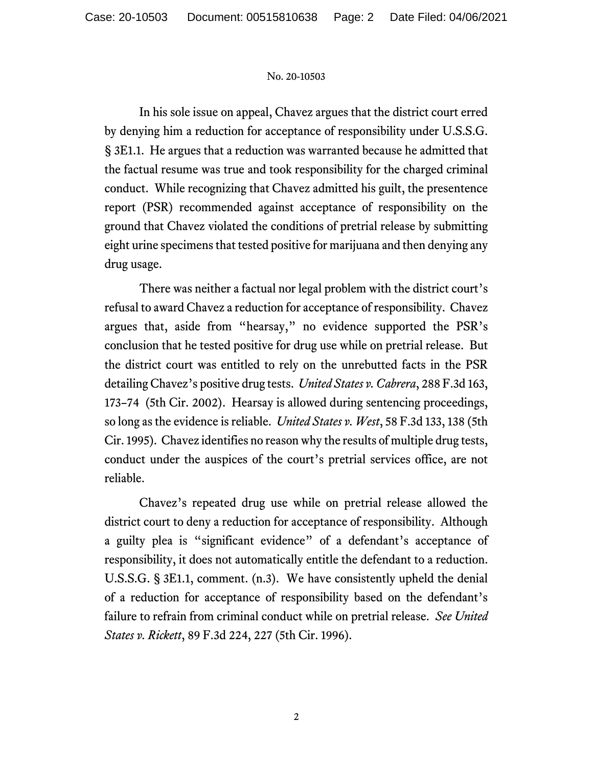## No. 20-10503

In his sole issue on appeal, Chavez argues that the district court erred by denying him a reduction for acceptance of responsibility under U.S.S.G. § 3E1.1. He argues that a reduction was warranted because he admitted that the factual resume was true and took responsibility for the charged criminal conduct. While recognizing that Chavez admitted his guilt, the presentence report (PSR) recommended against acceptance of responsibility on the ground that Chavez violated the conditions of pretrial release by submitting eight urine specimens that tested positive for marijuana and then denying any drug usage.

There was neither a factual nor legal problem with the district court's refusal to award Chavez a reduction for acceptance of responsibility. Chavez argues that, aside from "hearsay," no evidence supported the PSR's conclusion that he tested positive for drug use while on pretrial release. But the district court was entitled to rely on the unrebutted facts in the PSR detailing Chavez's positive drug tests. *United States v. Cabrera*, 288 F.3d 163, 173–74 (5th Cir. 2002). Hearsay is allowed during sentencing proceedings, so long as the evidence is reliable. *United States v. West*, 58 F.3d 133, 138 (5th Cir. 1995). Chavez identifies no reason why the results of multiple drug tests, conduct under the auspices of the court's pretrial services office, are not reliable.

Chavez's repeated drug use while on pretrial release allowed the district court to deny a reduction for acceptance of responsibility. Although a guilty plea is "significant evidence" of a defendant's acceptance of responsibility, it does not automatically entitle the defendant to a reduction. U.S.S.G. § 3E1.1, comment. (n.3). We have consistently upheld the denial of a reduction for acceptance of responsibility based on the defendant's failure to refrain from criminal conduct while on pretrial release. *See United States v. Rickett*, 89 F.3d 224, 227 (5th Cir. 1996).